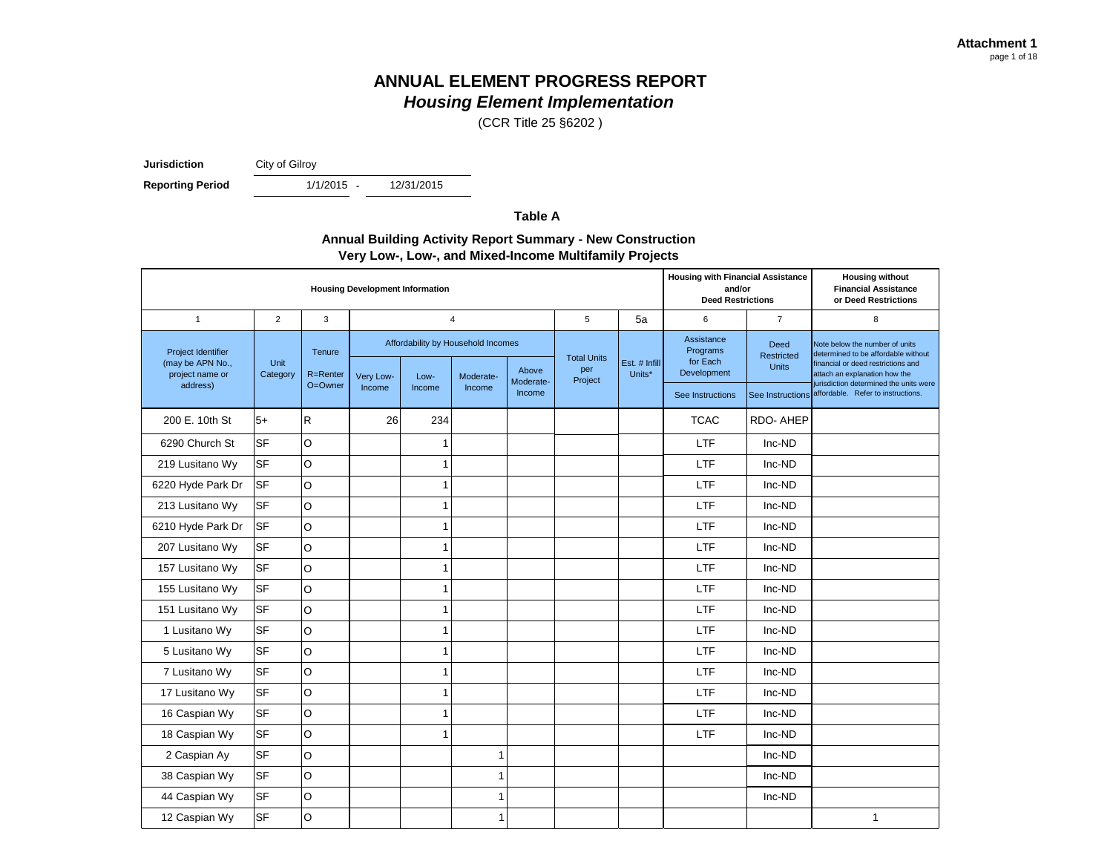(CCR Title 25 §6202 )

**Jurisdiction** City of Gilroy

**Reporting Period** 

 $1/1/2015 -$ 

12/31/2015

**Table A**

#### **Annual Building Activity Report Summary - New Construction Very Low-, Low-, and Mixed-Income Multifamily Projects**

|                                                                  | <b>Housing Development Information</b>                                                                         |         |                           |                         |                                                   |                                    |                                                                                                                                              |    |                  | <b>Housing with Financial Assistance</b><br><b>Housing without</b><br>and/or<br><b>Financial Assistance</b><br><b>Deed Restrictions</b><br>or Deed Restrictions |                                                                              |
|------------------------------------------------------------------|----------------------------------------------------------------------------------------------------------------|---------|---------------------------|-------------------------|---------------------------------------------------|------------------------------------|----------------------------------------------------------------------------------------------------------------------------------------------|----|------------------|-----------------------------------------------------------------------------------------------------------------------------------------------------------------|------------------------------------------------------------------------------|
| $\overline{1}$                                                   | 2                                                                                                              | 3       |                           | $\overline{4}$          |                                                   |                                    | 5                                                                                                                                            | 5a | 6                | $\overline{7}$                                                                                                                                                  | 8                                                                            |
| <b>Project Identifier</b><br>(may be APN No.,<br>project name or | Affordability by Household Incomes<br>Tenure<br>Unit<br>Category<br>R=Renter<br>Very Low-<br>Low-<br>Moderate- | Above   | <b>Total Units</b><br>per | Est. # Infill<br>Units* | Assistance<br>Programs<br>for Each<br>Development | Deed<br>Restricted<br><b>Units</b> | Note below the number of units<br>determined to be affordable without<br>financial or deed restrictions and<br>attach an explanation how the |    |                  |                                                                                                                                                                 |                                                                              |
| address)                                                         |                                                                                                                | O=Owner | Income                    | Income                  | Income                                            | Moderate-<br>Income                | Project                                                                                                                                      |    | See Instructions | See Instructions                                                                                                                                                | jurisdiction determined the units were<br>affordable. Refer to instructions. |
| 200 E. 10th St                                                   | $5+$                                                                                                           | R       | 26                        | 234                     |                                                   |                                    |                                                                                                                                              |    | <b>TCAC</b>      | RDO-AHEP                                                                                                                                                        |                                                                              |
| 6290 Church St                                                   | <b>SF</b>                                                                                                      | O       |                           | 1                       |                                                   |                                    |                                                                                                                                              |    | <b>LTF</b>       | Inc-ND                                                                                                                                                          |                                                                              |
| 219 Lusitano Wy                                                  | <b>SF</b>                                                                                                      | O       |                           | $\mathbf{1}$            |                                                   |                                    |                                                                                                                                              |    | <b>LTF</b>       | Inc-ND                                                                                                                                                          |                                                                              |
| 6220 Hyde Park Dr                                                | lsF                                                                                                            | O       |                           | $\mathbf{1}$            |                                                   |                                    |                                                                                                                                              |    | <b>LTF</b>       | Inc-ND                                                                                                                                                          |                                                                              |
| 213 Lusitano Wy                                                  | <b>SF</b>                                                                                                      | O       |                           | $\mathbf{1}$            |                                                   |                                    |                                                                                                                                              |    | LTF              | Inc-ND                                                                                                                                                          |                                                                              |
| 6210 Hyde Park Dr                                                | <b>SF</b>                                                                                                      | $\circ$ |                           | $\mathbf{1}$            |                                                   |                                    |                                                                                                                                              |    | LTF              | Inc-ND                                                                                                                                                          |                                                                              |
| 207 Lusitano Wy                                                  | <b>SF</b>                                                                                                      | O       |                           | 1                       |                                                   |                                    |                                                                                                                                              |    | LTF              | Inc-ND                                                                                                                                                          |                                                                              |
| 157 Lusitano Wy                                                  | <b>SF</b>                                                                                                      | O       |                           | $\mathbf{1}$            |                                                   |                                    |                                                                                                                                              |    | LTF              | Inc-ND                                                                                                                                                          |                                                                              |
| 155 Lusitano Wy                                                  | <b>SF</b>                                                                                                      | O       |                           | 1                       |                                                   |                                    |                                                                                                                                              |    | LTF              | Inc-ND                                                                                                                                                          |                                                                              |
| 151 Lusitano Wy                                                  | <b>SF</b>                                                                                                      | O       |                           | 1                       |                                                   |                                    |                                                                                                                                              |    | <b>LTF</b>       | Inc-ND                                                                                                                                                          |                                                                              |
| 1 Lusitano Wy                                                    | <b>SF</b>                                                                                                      | O       |                           | 1                       |                                                   |                                    |                                                                                                                                              |    | <b>LTF</b>       | Inc-ND                                                                                                                                                          |                                                                              |
| 5 Lusitano Wy                                                    | <b>SF</b>                                                                                                      | O       |                           | $\mathbf{1}$            |                                                   |                                    |                                                                                                                                              |    | LTF              | Inc-ND                                                                                                                                                          |                                                                              |
| 7 Lusitano Wy                                                    | <b>SF</b>                                                                                                      | O       |                           | $\mathbf{1}$            |                                                   |                                    |                                                                                                                                              |    | <b>LTF</b>       | Inc-ND                                                                                                                                                          |                                                                              |
| 17 Lusitano Wy                                                   | <b>SF</b>                                                                                                      | O       |                           | $\mathbf{1}$            |                                                   |                                    |                                                                                                                                              |    | LTF              | Inc-ND                                                                                                                                                          |                                                                              |
| 16 Caspian Wy                                                    | <b>SF</b>                                                                                                      | O       |                           | $\mathbf{1}$            |                                                   |                                    |                                                                                                                                              |    | LTF              | Inc-ND                                                                                                                                                          |                                                                              |
| 18 Caspian Wy                                                    | <b>SF</b>                                                                                                      | O       |                           | 1                       |                                                   |                                    |                                                                                                                                              |    | LTF              | Inc-ND                                                                                                                                                          |                                                                              |
| 2 Caspian Ay                                                     | <b>SF</b>                                                                                                      | O       |                           |                         | $\overline{1}$                                    |                                    |                                                                                                                                              |    |                  | Inc-ND                                                                                                                                                          |                                                                              |
| 38 Caspian Wy                                                    | <b>SF</b>                                                                                                      | O       |                           |                         | $\overline{1}$                                    |                                    |                                                                                                                                              |    |                  | Inc-ND                                                                                                                                                          |                                                                              |
| 44 Caspian Wy                                                    | <b>SF</b>                                                                                                      | O       |                           |                         | $\overline{1}$                                    |                                    |                                                                                                                                              |    |                  | Inc-ND                                                                                                                                                          |                                                                              |
| 12 Caspian Wy                                                    | <b>SF</b>                                                                                                      | O       |                           |                         | 1                                                 |                                    |                                                                                                                                              |    |                  |                                                                                                                                                                 | $\mathbf{1}$                                                                 |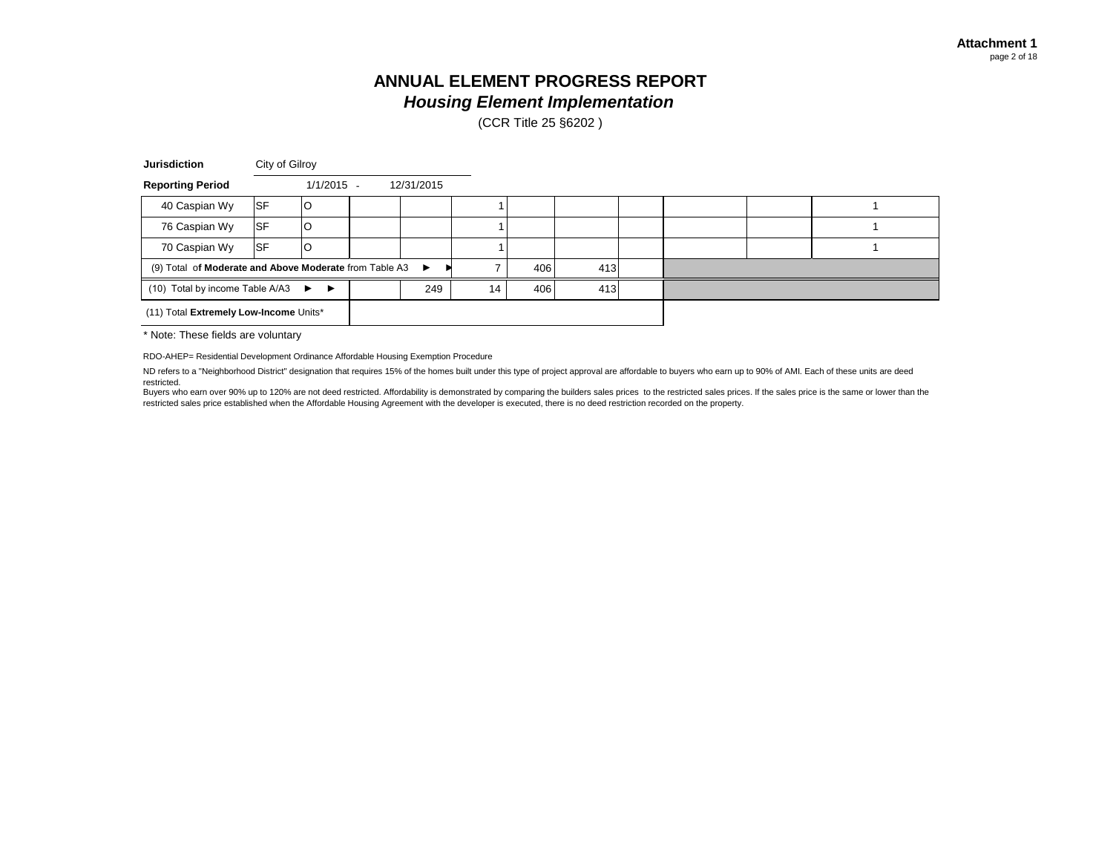(CCR Title 25 §6202 )

| <b>Jurisdiction</b>                                          |           | City of Gilroy |    |            |     |     |  |  |  |
|--------------------------------------------------------------|-----------|----------------|----|------------|-----|-----|--|--|--|
| <b>Reporting Period</b>                                      |           | $1/1/2015 -$   |    | 12/31/2015 |     |     |  |  |  |
| 40 Caspian Wy                                                | <b>SF</b> | O              |    |            |     |     |  |  |  |
| 76 Caspian Wy                                                | <b>SF</b> |                |    |            |     |     |  |  |  |
| 70 Caspian Wy                                                | lSF       |                |    |            |     |     |  |  |  |
| (9) Total of Moderate and Above Moderate from Table A3 ►     |           |                |    |            | 406 | 413 |  |  |  |
| 249<br>(10) Total by income Table A/A3 $\blacktriangleright$ |           |                | 14 | 406        | 413 |     |  |  |  |
| (11) Total Extremely Low-Income Units*                       |           |                |    |            |     |     |  |  |  |

\* Note: These fields are voluntary

RDO-AHEP= Residential Development Ordinance Affordable Housing Exemption Procedure

ND refers to a "Neighborhood District" designation that requires 15% of the homes built under this type of project approval are affordable to buyers who earn up to 90% of AMI. Each of these units are deed restricted.

Buyers who earn over 90% up to 120% are not deed restricted. Affordability is demonstrated by comparing the builders sales prices to the restricted sales prices. If the sales price is the same or lower than the restricted sales price established when the Affordable Housing Agreement with the developer is executed, there is no deed restriction recorded on the property.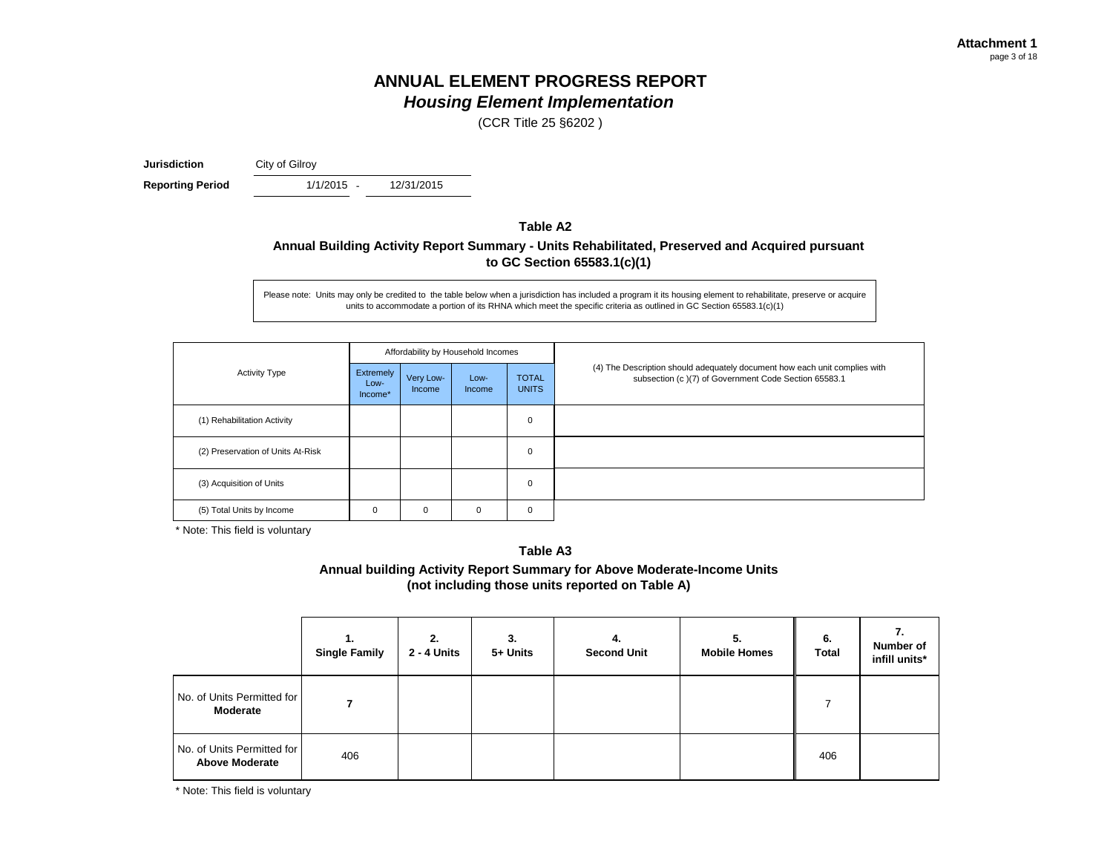(CCR Title 25 §6202 )

**Jurisdiction** City of Gilroy

**Reporting Period** 1/1/2015 -

12/31/2015

#### **Table A2 Annual Building Activity Report Summary - Units Rehabilitated, Preserved and Acquired pursuant to GC Section 65583.1(c)(1)**

Please note: Units may only be credited to the table below when a jurisdiction has included a program it its housing element to rehabilitate, preserve or acquire units to accommodate a portion of its RHNA which meet the specific criteria as outlined in GC Section 65583.1(c)(1)

|                                   |                              |                     | Affordability by Household Incomes |                              |                                                                                                                                    |  |  |
|-----------------------------------|------------------------------|---------------------|------------------------------------|------------------------------|------------------------------------------------------------------------------------------------------------------------------------|--|--|
| <b>Activity Type</b>              | Extremely<br>Low-<br>Income* | Very Low-<br>Income | Low-<br>Income                     | <b>TOTAL</b><br><b>UNITS</b> | (4) The Description should adequately document how each unit complies with<br>subsection (c)(7) of Government Code Section 65583.1 |  |  |
| (1) Rehabilitation Activity       |                              |                     |                                    | $\mathbf 0$                  |                                                                                                                                    |  |  |
| (2) Preservation of Units At-Risk |                              |                     |                                    | $\mathbf 0$                  |                                                                                                                                    |  |  |
| (3) Acquisition of Units          |                              |                     |                                    | $\mathbf 0$                  |                                                                                                                                    |  |  |
| (5) Total Units by Income         | 0                            | 0                   | 0                                  | $\mathbf 0$                  |                                                                                                                                    |  |  |

\* Note: This field is voluntary

**Table A3 Annual building Activity Report Summary for Above Moderate-Income Units (not including those units reported on Table A)**

|                                                     | 1.<br><b>Single Family</b> | 2.<br>2 - 4 Units | 3.<br>5+ Units | 4.<br><b>Second Unit</b> | 5.<br><b>Mobile Homes</b> | 6.<br><b>Total</b> | 7.<br>Number of<br>infill units* |
|-----------------------------------------------------|----------------------------|-------------------|----------------|--------------------------|---------------------------|--------------------|----------------------------------|
| No. of Units Permitted for<br>Moderate              |                            |                   |                |                          |                           |                    |                                  |
| No. of Units Permitted for<br><b>Above Moderate</b> | 406                        |                   |                |                          |                           | 406                |                                  |

\* Note: This field is voluntary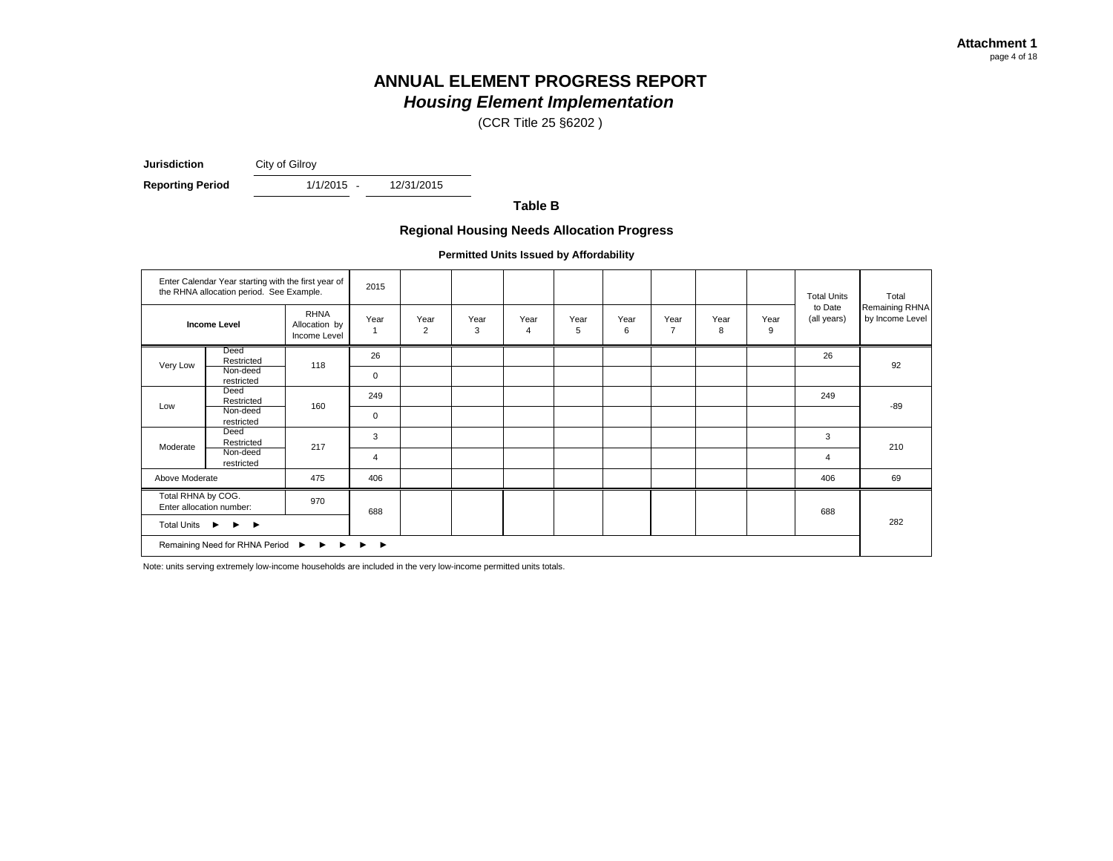(CCR Title 25 §6202 )

**Jurisdiction** City of Gilroy

**Reporting Period** 1/1/2015 -

12/31/2015

**Table B**

#### **Regional Housing Needs Allocation Progress**

**Permitted Units Issued by Affordability**

|                                                            | Enter Calendar Year starting with the first year of<br>the RHNA allocation period. See Example. |                                              | 2015        |                        |           |                        |           |           |                        |           |           | <b>Total Units</b>     | Total                             |
|------------------------------------------------------------|-------------------------------------------------------------------------------------------------|----------------------------------------------|-------------|------------------------|-----------|------------------------|-----------|-----------|------------------------|-----------|-----------|------------------------|-----------------------------------|
|                                                            | <b>Income Level</b>                                                                             | <b>RHNA</b><br>Allocation by<br>Income Level | Year        | Year<br>$\overline{2}$ | Year<br>3 | Year<br>$\overline{4}$ | Year<br>5 | Year<br>6 | Year<br>$\overline{7}$ | Year<br>8 | Year<br>9 | to Date<br>(all years) | Remaining RHNA<br>by Income Level |
|                                                            | Deed<br>Restricted                                                                              | 118                                          | 26          |                        |           |                        |           |           |                        |           |           | 26                     |                                   |
| Very Low                                                   | Non-deed<br>restricted                                                                          |                                              | 0           |                        |           |                        |           |           |                        |           |           |                        | 92                                |
|                                                            | Deed<br>Restricted                                                                              | 160                                          | 249         |                        |           |                        |           |           |                        |           |           | 249                    |                                   |
| Low                                                        | Non-deed<br>restricted                                                                          |                                              | $\mathbf 0$ |                        |           |                        |           |           |                        |           |           |                        | $-89$                             |
|                                                            | Deed<br>Restricted                                                                              |                                              | 3           |                        |           |                        |           |           |                        |           |           | 3                      |                                   |
| Moderate                                                   | Non-deed<br>restricted                                                                          | 217                                          | 4           |                        |           |                        |           |           |                        |           |           | 4                      | 210                               |
| Above Moderate                                             |                                                                                                 | 475                                          | 406         |                        |           |                        |           |           |                        |           |           | 406                    | 69                                |
| Total RHNA by COG.                                         | Enter allocation number:                                                                        | 970                                          | 688         |                        |           |                        |           |           |                        |           |           | 688                    |                                   |
| Total Units ▶<br>$\blacktriangleright$                     |                                                                                                 |                                              |             |                        |           |                        |           |           |                        |           |           | 282                    |                                   |
| Remaining Need for RHNA Period ▶ ▶ ▶<br>▶<br>$\rightarrow$ |                                                                                                 |                                              |             |                        |           |                        |           |           |                        |           |           |                        |                                   |

Note: units serving extremely low-income households are included in the very low-income permitted units totals.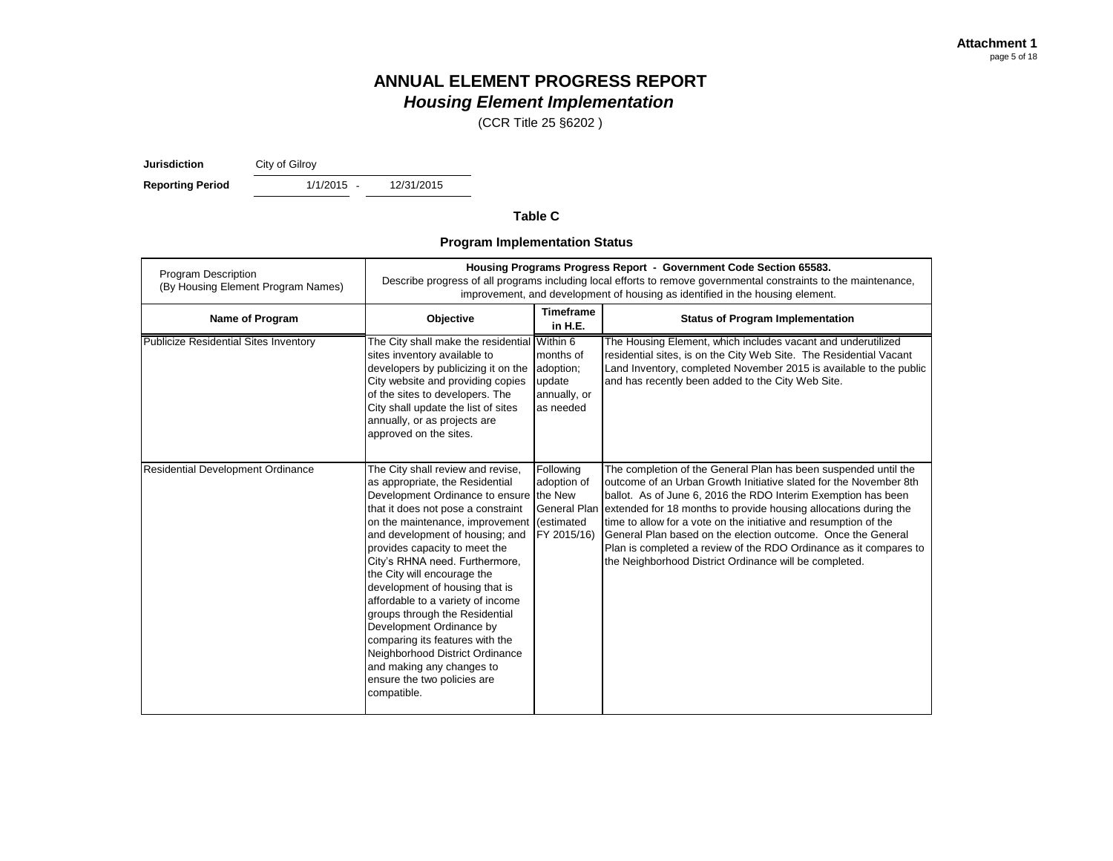(CCR Title 25 §6202 )

**Jurisdiction** City of Gilroy

**Reporting Period** 1/1/2015 -

12/31/2015

#### **Table C**

#### **Program Implementation Status**

| Program Description<br>(By Housing Element Program Names) | Housing Programs Progress Report - Government Code Section 65583.<br>Describe progress of all programs including local efforts to remove governmental constraints to the maintenance,<br>improvement, and development of housing as identified in the housing element.                                                                                                                                                                                                                                                                                                                                      |                                                                                         |                                                                                                                                                                                                                                                                                                                                                                                                                                                                                                                                              |  |  |  |  |
|-----------------------------------------------------------|-------------------------------------------------------------------------------------------------------------------------------------------------------------------------------------------------------------------------------------------------------------------------------------------------------------------------------------------------------------------------------------------------------------------------------------------------------------------------------------------------------------------------------------------------------------------------------------------------------------|-----------------------------------------------------------------------------------------|----------------------------------------------------------------------------------------------------------------------------------------------------------------------------------------------------------------------------------------------------------------------------------------------------------------------------------------------------------------------------------------------------------------------------------------------------------------------------------------------------------------------------------------------|--|--|--|--|
| Name of Program                                           | Objective                                                                                                                                                                                                                                                                                                                                                                                                                                                                                                                                                                                                   | <b>Timeframe</b><br>in H.E.                                                             | <b>Status of Program Implementation</b>                                                                                                                                                                                                                                                                                                                                                                                                                                                                                                      |  |  |  |  |
| <b>Publicize Residential Sites Inventory</b>              | The City shall make the residential Within 6<br>sites inventory available to<br>developers by publicizing it on the<br>City website and providing copies<br>of the sites to developers. The<br>City shall update the list of sites<br>annually, or as projects are<br>approved on the sites.                                                                                                                                                                                                                                                                                                                | months of<br>adoption;<br>update<br>annually, or<br>as needed                           | The Housing Element, which includes vacant and underutilized<br>residential sites, is on the City Web Site. The Residential Vacant<br>Land Inventory, completed November 2015 is available to the public<br>and has recently been added to the City Web Site.                                                                                                                                                                                                                                                                                |  |  |  |  |
| <b>Residential Development Ordinance</b>                  | The City shall review and revise,<br>as appropriate, the Residential<br>Development Ordinance to ensure<br>that it does not pose a constraint<br>on the maintenance, improvement<br>and development of housing; and<br>provides capacity to meet the<br>City's RHNA need. Furthermore,<br>the City will encourage the<br>development of housing that is<br>affordable to a variety of income<br>groups through the Residential<br>Development Ordinance by<br>comparing its features with the<br>Neighborhood District Ordinance<br>and making any changes to<br>ensure the two policies are<br>compatible. | Following<br>adoption of<br>the New<br><b>General Plan</b><br>(estimated<br>FY 2015/16) | The completion of the General Plan has been suspended until the<br>outcome of an Urban Growth Initiative slated for the November 8th<br>ballot. As of June 6, 2016 the RDO Interim Exemption has been<br>extended for 18 months to provide housing allocations during the<br>time to allow for a vote on the initiative and resumption of the<br>General Plan based on the election outcome. Once the General<br>Plan is completed a review of the RDO Ordinance as it compares to<br>the Neighborhood District Ordinance will be completed. |  |  |  |  |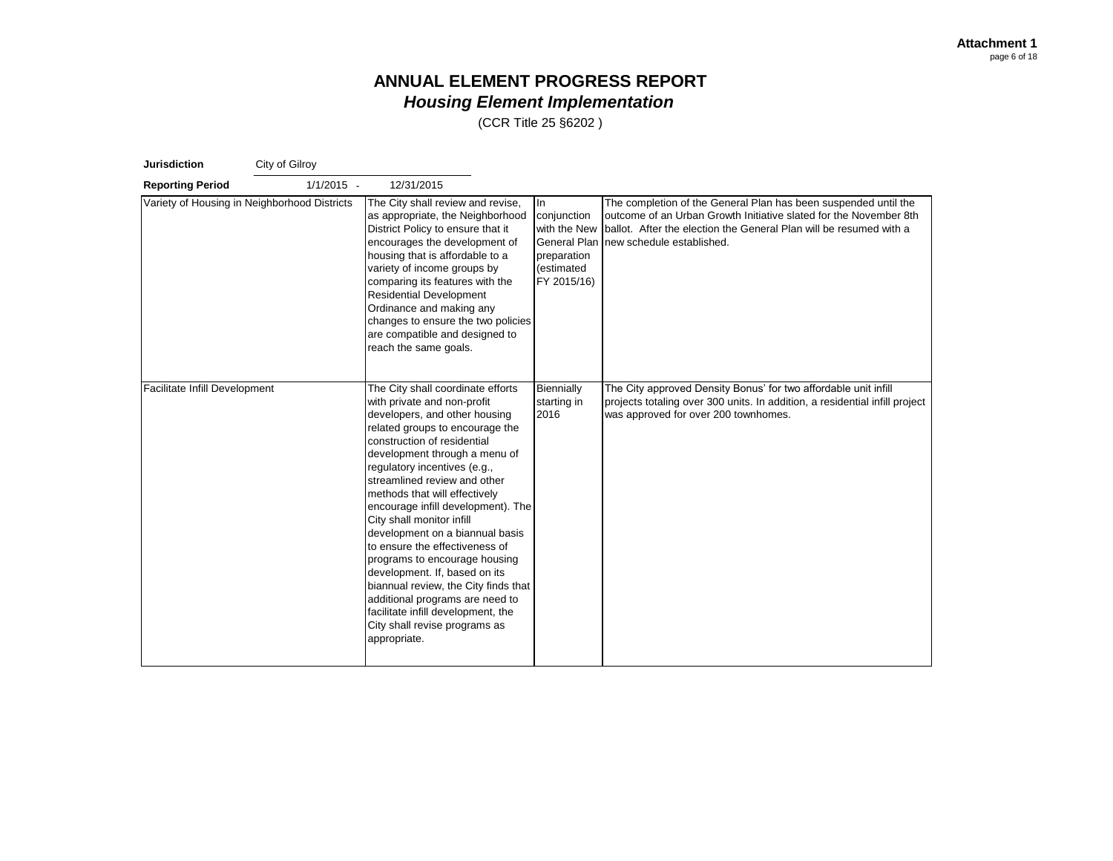| <b>Jurisdiction</b>           | City of Gilroy                               |                                                                                                                                                                                                                                                                                                                                                                                                                                                                                                                                                                                                                                                                                   |                                                                                               |                                                                                                                                                                                                                                          |
|-------------------------------|----------------------------------------------|-----------------------------------------------------------------------------------------------------------------------------------------------------------------------------------------------------------------------------------------------------------------------------------------------------------------------------------------------------------------------------------------------------------------------------------------------------------------------------------------------------------------------------------------------------------------------------------------------------------------------------------------------------------------------------------|-----------------------------------------------------------------------------------------------|------------------------------------------------------------------------------------------------------------------------------------------------------------------------------------------------------------------------------------------|
| <b>Reporting Period</b>       | $1/1/2015 -$                                 | 12/31/2015                                                                                                                                                                                                                                                                                                                                                                                                                                                                                                                                                                                                                                                                        |                                                                                               |                                                                                                                                                                                                                                          |
|                               | Variety of Housing in Neighborhood Districts | The City shall review and revise,<br>as appropriate, the Neighborhood<br>District Policy to ensure that it<br>encourages the development of<br>housing that is affordable to a<br>variety of income groups by<br>comparing its features with the<br><b>Residential Development</b><br>Ordinance and making any<br>changes to ensure the two policies<br>are compatible and designed to<br>reach the same goals.                                                                                                                                                                                                                                                                   | In<br>conjunction<br>with the New<br>General Plan<br>preparation<br>(estimated<br>FY 2015/16) | The completion of the General Plan has been suspended until the<br>outcome of an Urban Growth Initiative slated for the November 8th<br>Iballot. After the election the General Plan will be resumed with a<br>new schedule established. |
| Facilitate Infill Development |                                              | The City shall coordinate efforts<br>with private and non-profit<br>developers, and other housing<br>related groups to encourage the<br>construction of residential<br>development through a menu of<br>regulatory incentives (e.g.,<br>streamlined review and other<br>methods that will effectively<br>encourage infill development). The<br>City shall monitor infill<br>development on a biannual basis<br>to ensure the effectiveness of<br>programs to encourage housing<br>development. If, based on its<br>biannual review, the City finds that<br>additional programs are need to<br>facilitate infill development, the<br>City shall revise programs as<br>appropriate. | Biennially<br>starting in<br>2016                                                             | The City approved Density Bonus' for two affordable unit infill<br>projects totaling over 300 units. In addition, a residential infill project<br>was approved for over 200 townhomes.                                                   |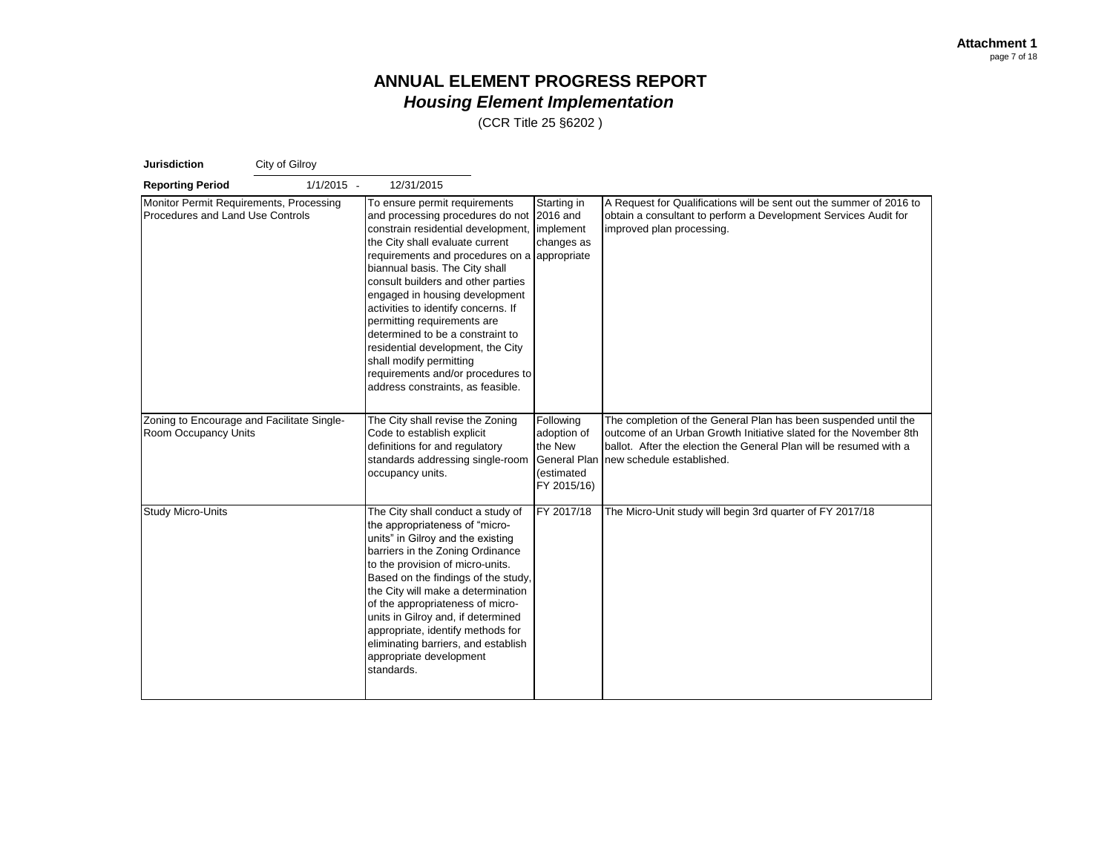| <b>Jurisdiction</b>                                                         | City of Gilroy |                                                                                                                                                                                                                                                                                                                                                                                                                                                                                                                                                          |                                                                                         |                                                                                                                                                                                                                                         |
|-----------------------------------------------------------------------------|----------------|----------------------------------------------------------------------------------------------------------------------------------------------------------------------------------------------------------------------------------------------------------------------------------------------------------------------------------------------------------------------------------------------------------------------------------------------------------------------------------------------------------------------------------------------------------|-----------------------------------------------------------------------------------------|-----------------------------------------------------------------------------------------------------------------------------------------------------------------------------------------------------------------------------------------|
| <b>Reporting Period</b>                                                     | $1/1/2015 -$   | 12/31/2015                                                                                                                                                                                                                                                                                                                                                                                                                                                                                                                                               |                                                                                         |                                                                                                                                                                                                                                         |
| Monitor Permit Requirements, Processing<br>Procedures and Land Use Controls |                | To ensure permit requirements<br>and processing procedures do not<br>constrain residential development,<br>the City shall evaluate current<br>requirements and procedures on a appropriate<br>biannual basis. The City shall<br>consult builders and other parties<br>engaged in housing development<br>activities to identify concerns. If<br>permitting requirements are<br>determined to be a constraint to<br>residential development, the City<br>shall modify permitting<br>requirements and/or procedures to<br>address constraints, as feasible. | Starting in<br>2016 and<br>implement<br>changes as                                      | A Request for Qualifications will be sent out the summer of 2016 to<br>obtain a consultant to perform a Development Services Audit for<br>improved plan processing.                                                                     |
| Zoning to Encourage and Facilitate Single-<br>Room Occupancy Units          |                | The City shall revise the Zoning<br>Code to establish explicit<br>definitions for and regulatory<br>standards addressing single-room<br>occupancy units.                                                                                                                                                                                                                                                                                                                                                                                                 | Following<br>adoption of<br>the New<br><b>General Plan</b><br>(estimated<br>FY 2015/16) | The completion of the General Plan has been suspended until the<br>outcome of an Urban Growth Initiative slated for the November 8th<br>ballot. After the election the General Plan will be resumed with a<br>new schedule established. |
| <b>Study Micro-Units</b>                                                    |                | The City shall conduct a study of<br>the appropriateness of "micro-<br>units" in Gilroy and the existing<br>barriers in the Zoning Ordinance<br>to the provision of micro-units.<br>Based on the findings of the study,<br>the City will make a determination<br>of the appropriateness of micro-<br>units in Gilroy and, if determined<br>appropriate, identify methods for<br>eliminating barriers, and establish<br>appropriate development<br>standards.                                                                                             | FY 2017/18                                                                              | The Micro-Unit study will begin 3rd quarter of FY 2017/18                                                                                                                                                                               |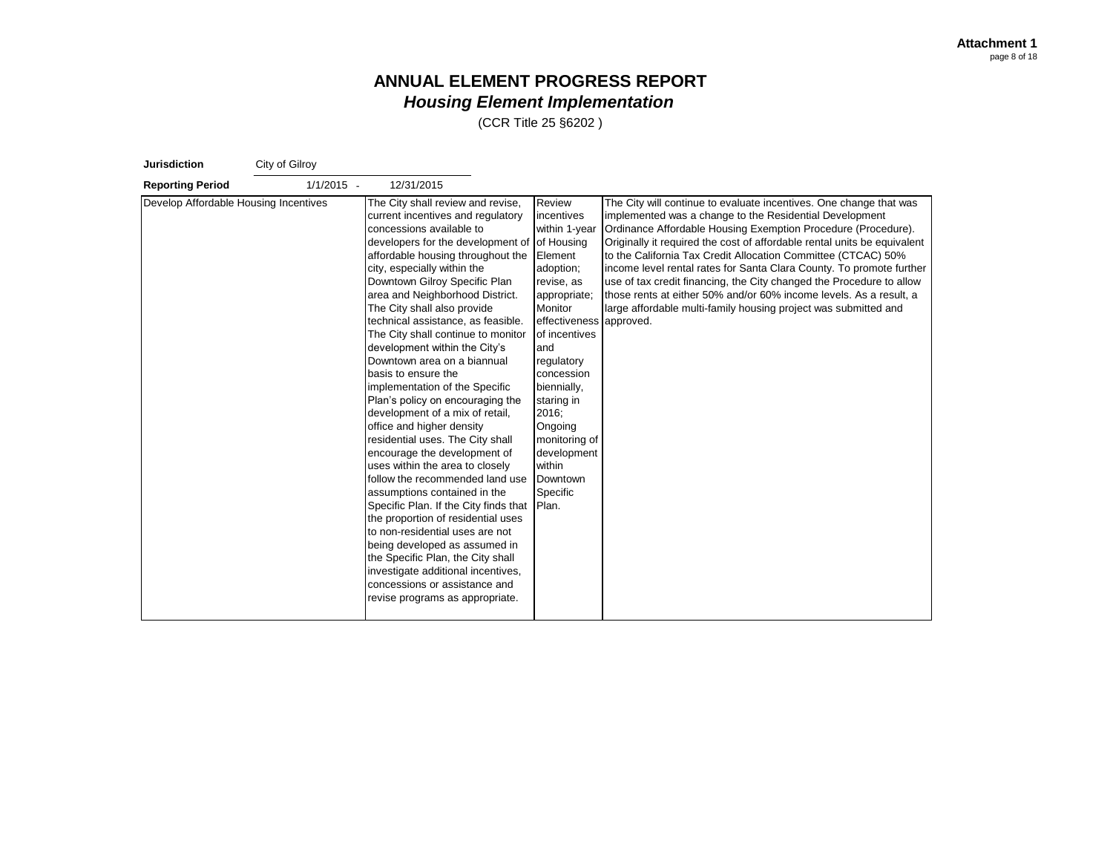| <b>Jurisdiction</b>                   | City of Gilroy |                                                                                                                                                                                                                                                                                                                                                                                                                                                                                                                                                                                                                                                                                                                                                                                                                                                                                                                                                                                                                                                                                                                      |                                                                                                                                                                                                                                                                                                          |                                                                                                                                                                                                                                                                                                                                                                                                                                                                                                                                                                                                                                      |
|---------------------------------------|----------------|----------------------------------------------------------------------------------------------------------------------------------------------------------------------------------------------------------------------------------------------------------------------------------------------------------------------------------------------------------------------------------------------------------------------------------------------------------------------------------------------------------------------------------------------------------------------------------------------------------------------------------------------------------------------------------------------------------------------------------------------------------------------------------------------------------------------------------------------------------------------------------------------------------------------------------------------------------------------------------------------------------------------------------------------------------------------------------------------------------------------|----------------------------------------------------------------------------------------------------------------------------------------------------------------------------------------------------------------------------------------------------------------------------------------------------------|--------------------------------------------------------------------------------------------------------------------------------------------------------------------------------------------------------------------------------------------------------------------------------------------------------------------------------------------------------------------------------------------------------------------------------------------------------------------------------------------------------------------------------------------------------------------------------------------------------------------------------------|
| <b>Reporting Period</b>               | $1/1/2015 -$   | 12/31/2015                                                                                                                                                                                                                                                                                                                                                                                                                                                                                                                                                                                                                                                                                                                                                                                                                                                                                                                                                                                                                                                                                                           |                                                                                                                                                                                                                                                                                                          |                                                                                                                                                                                                                                                                                                                                                                                                                                                                                                                                                                                                                                      |
| Develop Affordable Housing Incentives |                | The City shall review and revise,<br>current incentives and regulatory<br>concessions available to<br>developers for the development of of Housing<br>affordable housing throughout the<br>city, especially within the<br>Downtown Gilroy Specific Plan<br>area and Neighborhood District.<br>The City shall also provide<br>technical assistance, as feasible.<br>The City shall continue to monitor<br>development within the City's<br>Downtown area on a biannual<br>basis to ensure the<br>implementation of the Specific<br>Plan's policy on encouraging the<br>development of a mix of retail,<br>office and higher density<br>residential uses. The City shall<br>encourage the development of<br>uses within the area to closely<br>follow the recommended land use<br>assumptions contained in the<br>Specific Plan. If the City finds that Plan.<br>the proportion of residential uses<br>to non-residential uses are not<br>being developed as assumed in<br>the Specific Plan, the City shall<br>investigate additional incentives,<br>concessions or assistance and<br>revise programs as appropriate. | Review<br>incentives<br>within 1-year<br>Element<br>adoption;<br>revise, as<br>appropriate;<br>Monitor<br>effectiveness approved.<br>of incentives<br>and<br>regulatory<br>concession<br>biennially,<br>staring in<br>2016:<br>Ongoing<br>monitoring of<br>development<br>within<br>Downtown<br>Specific | The City will continue to evaluate incentives. One change that was<br>implemented was a change to the Residential Development<br>Ordinance Affordable Housing Exemption Procedure (Procedure).<br>Originally it required the cost of affordable rental units be equivalent<br>to the California Tax Credit Allocation Committee (CTCAC) 50%<br>income level rental rates for Santa Clara County. To promote further<br>use of tax credit financing, the City changed the Procedure to allow<br>those rents at either 50% and/or 60% income levels. As a result, a<br>large affordable multi-family housing project was submitted and |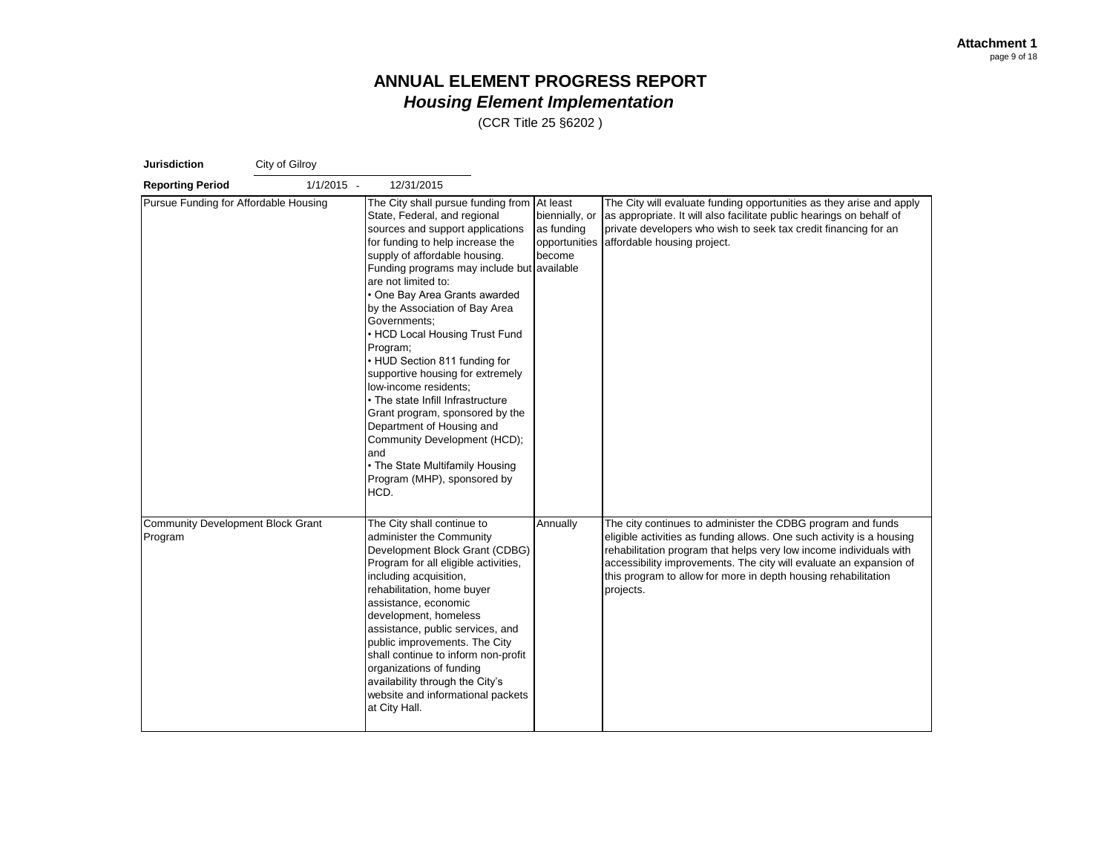| <b>Jurisdiction</b>                                 | City of Gilroy |                                                                                                                                                                                                                                                                                                                                                                                                                                                                                                                                                                                                                                                                                                    |                                                                      |                                                                                                                                                                                                                                                                                                                                                                 |
|-----------------------------------------------------|----------------|----------------------------------------------------------------------------------------------------------------------------------------------------------------------------------------------------------------------------------------------------------------------------------------------------------------------------------------------------------------------------------------------------------------------------------------------------------------------------------------------------------------------------------------------------------------------------------------------------------------------------------------------------------------------------------------------------|----------------------------------------------------------------------|-----------------------------------------------------------------------------------------------------------------------------------------------------------------------------------------------------------------------------------------------------------------------------------------------------------------------------------------------------------------|
| <b>Reporting Period</b>                             | $1/1/2015 -$   | 12/31/2015                                                                                                                                                                                                                                                                                                                                                                                                                                                                                                                                                                                                                                                                                         |                                                                      |                                                                                                                                                                                                                                                                                                                                                                 |
| Pursue Funding for Affordable Housing               |                | The City shall pursue funding from At least<br>State, Federal, and regional<br>sources and support applications<br>for funding to help increase the<br>supply of affordable housing.<br>Funding programs may include but<br>are not limited to:<br>One Bay Area Grants awarded<br>by the Association of Bay Area<br>Governments;<br>• HCD Local Housing Trust Fund<br>Program;<br>• HUD Section 811 funding for<br>supportive housing for extremely<br>low-income residents;<br>• The state Infill Infrastructure<br>Grant program, sponsored by the<br>Department of Housing and<br>Community Development (HCD);<br>and<br>• The State Multifamily Housing<br>Program (MHP), sponsored by<br>HCD. | biennially, or<br>as funding<br>opportunities<br>become<br>available | The City will evaluate funding opportunities as they arise and apply<br>as appropriate. It will also facilitate public hearings on behalf of<br>private developers who wish to seek tax credit financing for an<br>affordable housing project.                                                                                                                  |
| <b>Community Development Block Grant</b><br>Program |                | The City shall continue to<br>administer the Community<br>Development Block Grant (CDBG)<br>Program for all eligible activities,<br>including acquisition,<br>rehabilitation, home buyer<br>assistance, economic<br>development, homeless<br>assistance, public services, and<br>public improvements. The City<br>shall continue to inform non-profit<br>organizations of funding<br>availability through the City's<br>website and informational packets<br>at City Hall.                                                                                                                                                                                                                         | Annually                                                             | The city continues to administer the CDBG program and funds<br>eligible activities as funding allows. One such activity is a housing<br>rehabilitation program that helps very low income individuals with<br>accessibility improvements. The city will evaluate an expansion of<br>this program to allow for more in depth housing rehabilitation<br>projects. |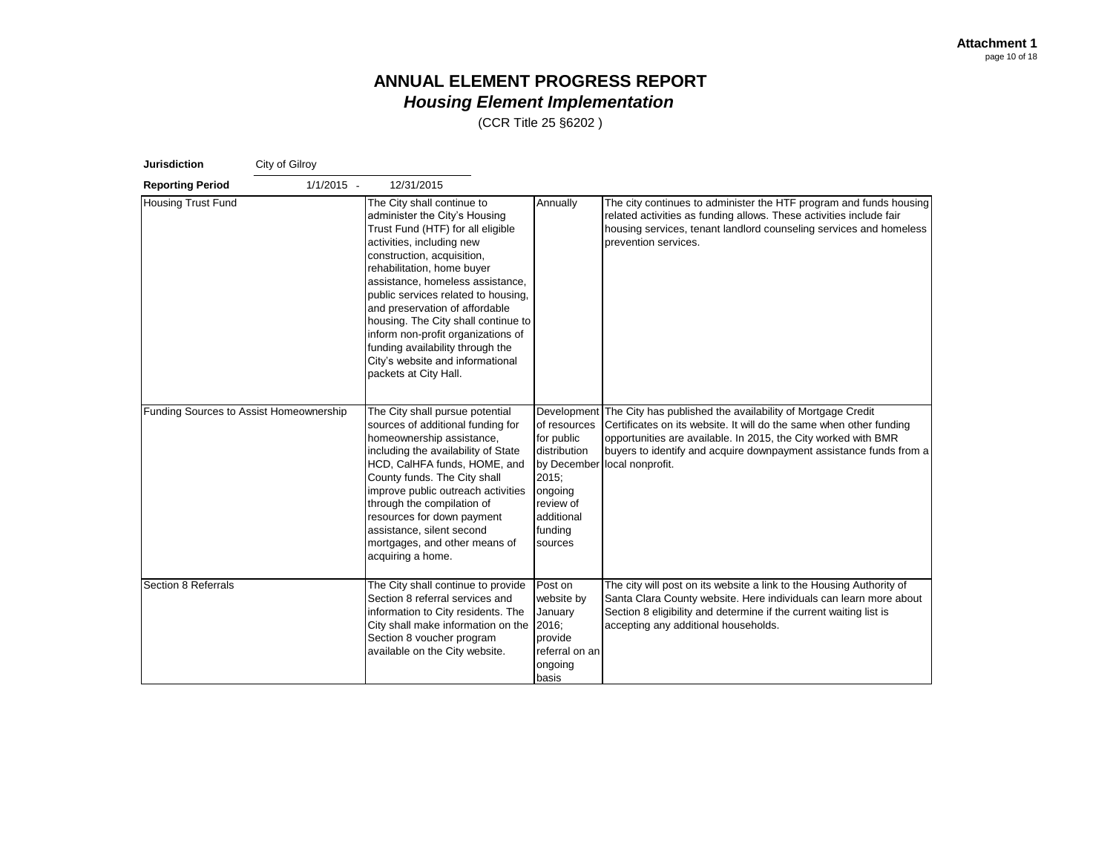| <b>Jurisdiction</b>                     | City of Gilroy |                                                                                                                                                                                                                                                                                                                                                                                                                                                                                      |                                                                                                                 |                                                                                                                                                                                                                                                                                                                       |
|-----------------------------------------|----------------|--------------------------------------------------------------------------------------------------------------------------------------------------------------------------------------------------------------------------------------------------------------------------------------------------------------------------------------------------------------------------------------------------------------------------------------------------------------------------------------|-----------------------------------------------------------------------------------------------------------------|-----------------------------------------------------------------------------------------------------------------------------------------------------------------------------------------------------------------------------------------------------------------------------------------------------------------------|
| <b>Reporting Period</b>                 | $1/1/2015 -$   | 12/31/2015                                                                                                                                                                                                                                                                                                                                                                                                                                                                           |                                                                                                                 |                                                                                                                                                                                                                                                                                                                       |
| <b>Housing Trust Fund</b>               |                | The City shall continue to<br>administer the City's Housing<br>Trust Fund (HTF) for all eligible<br>activities, including new<br>construction, acquisition,<br>rehabilitation, home buyer<br>assistance, homeless assistance,<br>public services related to housing,<br>and preservation of affordable<br>housing. The City shall continue to<br>inform non-profit organizations of<br>funding availability through the<br>City's website and informational<br>packets at City Hall. | Annually                                                                                                        | The city continues to administer the HTF program and funds housing<br>related activities as funding allows. These activities include fair<br>housing services, tenant landlord counseling services and homeless<br>prevention services.                                                                               |
| Funding Sources to Assist Homeownership |                | The City shall pursue potential<br>sources of additional funding for<br>homeownership assistance,<br>including the availability of State<br>HCD, CalHFA funds, HOME, and<br>County funds. The City shall<br>improve public outreach activities<br>through the compilation of<br>resources for down payment<br>assistance, silent second<br>mortgages, and other means of<br>acquiring a home.                                                                                        | of resources<br>for public<br>distribution<br>2015;<br>ongoing<br>review of<br>additional<br>funding<br>sources | Development The City has published the availability of Mortgage Credit<br>Certificates on its website. It will do the same when other funding<br>opportunities are available. In 2015, the City worked with BMR<br>buyers to identify and acquire downpayment assistance funds from a<br>by December local nonprofit. |
| Section 8 Referrals                     |                | The City shall continue to provide<br>Section 8 referral services and<br>information to City residents. The<br>City shall make information on the<br>Section 8 voucher program<br>available on the City website.                                                                                                                                                                                                                                                                     | Post on<br>website by<br>January<br>2016:<br>provide<br>referral on an<br>ongoing<br>basis                      | The city will post on its website a link to the Housing Authority of<br>Santa Clara County website. Here individuals can learn more about<br>Section 8 eligibility and determine if the current waiting list is<br>accepting any additional households.                                                               |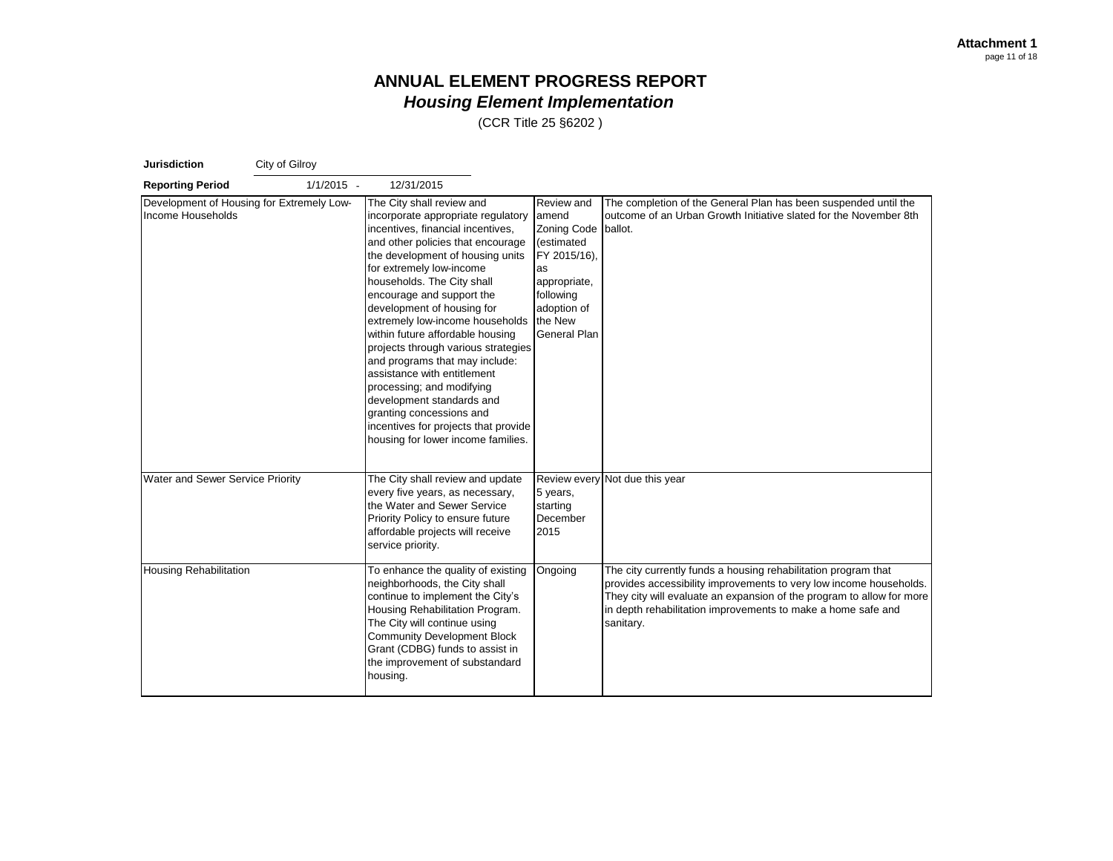| <b>Jurisdiction</b>                                            | City of Gilroy |                                                                                                                                                                                                                                                                                                                                                                                                                                                                                                                                                                                                                                                       |                                                                                                                                                             |                                                                                                                                                                                                                                                                                            |
|----------------------------------------------------------------|----------------|-------------------------------------------------------------------------------------------------------------------------------------------------------------------------------------------------------------------------------------------------------------------------------------------------------------------------------------------------------------------------------------------------------------------------------------------------------------------------------------------------------------------------------------------------------------------------------------------------------------------------------------------------------|-------------------------------------------------------------------------------------------------------------------------------------------------------------|--------------------------------------------------------------------------------------------------------------------------------------------------------------------------------------------------------------------------------------------------------------------------------------------|
| <b>Reporting Period</b>                                        | $1/1/2015 -$   | 12/31/2015                                                                                                                                                                                                                                                                                                                                                                                                                                                                                                                                                                                                                                            |                                                                                                                                                             |                                                                                                                                                                                                                                                                                            |
| Development of Housing for Extremely Low-<br>Income Households |                | The City shall review and<br>incorporate appropriate regulatory<br>incentives, financial incentives,<br>and other policies that encourage<br>the development of housing units<br>for extremely low-income<br>households. The City shall<br>encourage and support the<br>development of housing for<br>extremely low-income households<br>within future affordable housing<br>projects through various strategies<br>and programs that may include:<br>assistance with entitlement<br>processing; and modifying<br>development standards and<br>granting concessions and<br>incentives for projects that provide<br>housing for lower income families. | Review and<br>amend<br><b>Zoning Code</b><br>(estimated<br>FY 2015/16),<br>as<br>appropriate,<br>following<br>adoption of<br>the New<br><b>General Plan</b> | The completion of the General Plan has been suspended until the<br>outcome of an Urban Growth Initiative slated for the November 8th<br>ballot.                                                                                                                                            |
| Water and Sewer Service Priority                               |                | The City shall review and update<br>every five years, as necessary,<br>the Water and Sewer Service<br>Priority Policy to ensure future<br>affordable projects will receive<br>service priority.                                                                                                                                                                                                                                                                                                                                                                                                                                                       | 5 years,<br>starting<br>December<br>2015                                                                                                                    | Review every Not due this year                                                                                                                                                                                                                                                             |
| <b>Housing Rehabilitation</b>                                  |                | To enhance the quality of existing<br>neighborhoods, the City shall<br>continue to implement the City's<br>Housing Rehabilitation Program.<br>The City will continue using<br><b>Community Development Block</b><br>Grant (CDBG) funds to assist in<br>the improvement of substandard<br>housing.                                                                                                                                                                                                                                                                                                                                                     | Ongoing                                                                                                                                                     | The city currently funds a housing rehabilitation program that<br>provides accessibility improvements to very low income households.<br>They city will evaluate an expansion of the program to allow for more<br>in depth rehabilitation improvements to make a home safe and<br>sanitary. |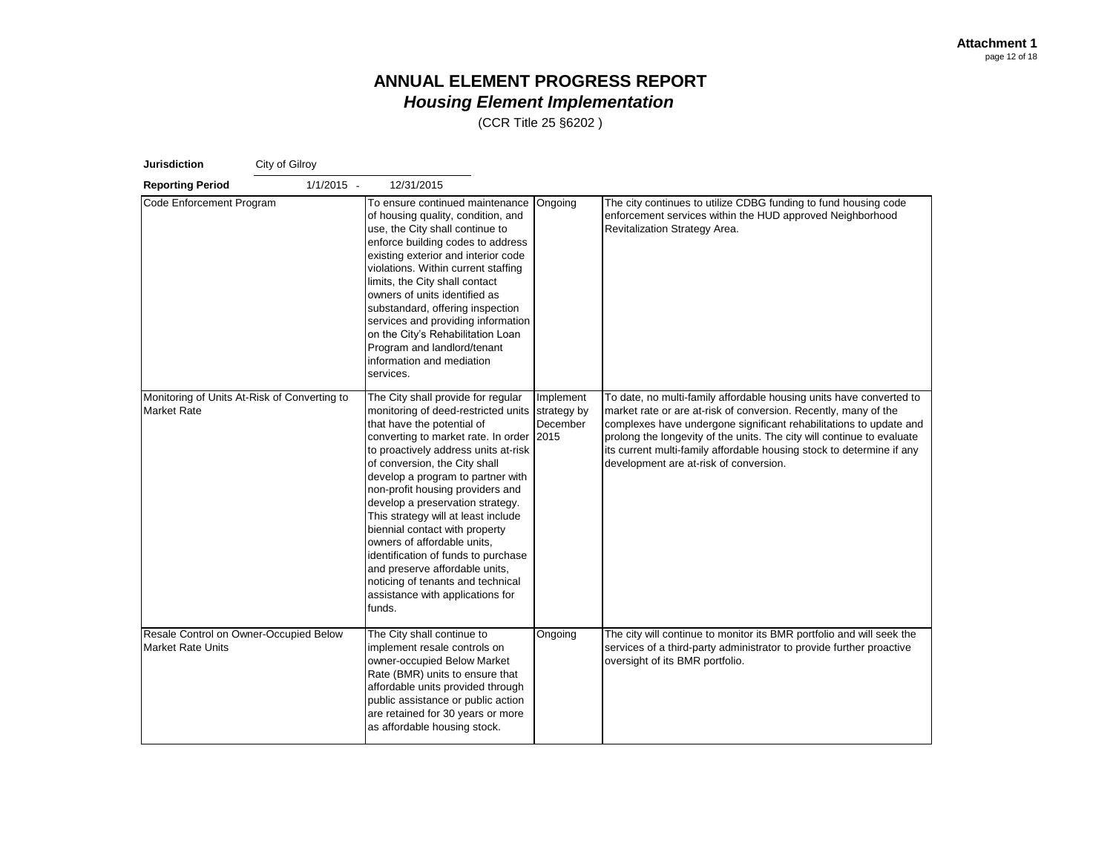| <b>Jurisdiction</b>                                                | City of Gilroy |                                                                                                                                                                                                                                                                                                                                                                                                                                                                                                                                                                                                          |                                              |                                                                                                                                                                                                                                                                                                                                                                                                           |
|--------------------------------------------------------------------|----------------|----------------------------------------------------------------------------------------------------------------------------------------------------------------------------------------------------------------------------------------------------------------------------------------------------------------------------------------------------------------------------------------------------------------------------------------------------------------------------------------------------------------------------------------------------------------------------------------------------------|----------------------------------------------|-----------------------------------------------------------------------------------------------------------------------------------------------------------------------------------------------------------------------------------------------------------------------------------------------------------------------------------------------------------------------------------------------------------|
| <b>Reporting Period</b>                                            | $1/1/2015 -$   | 12/31/2015                                                                                                                                                                                                                                                                                                                                                                                                                                                                                                                                                                                               |                                              |                                                                                                                                                                                                                                                                                                                                                                                                           |
| Code Enforcement Program                                           |                | To ensure continued maintenance<br>of housing quality, condition, and<br>use, the City shall continue to<br>enforce building codes to address<br>existing exterior and interior code<br>violations. Within current staffing<br>limits, the City shall contact<br>owners of units identified as<br>substandard, offering inspection<br>services and providing information<br>on the City's Rehabilitation Loan<br>Program and landlord/tenant<br>information and mediation<br>services.                                                                                                                   | Ongoing                                      | The city continues to utilize CDBG funding to fund housing code<br>enforcement services within the HUD approved Neighborhood<br>Revitalization Strategy Area.                                                                                                                                                                                                                                             |
| Monitoring of Units At-Risk of Converting to<br><b>Market Rate</b> |                | The City shall provide for regular<br>monitoring of deed-restricted units<br>that have the potential of<br>converting to market rate. In order<br>to proactively address units at-risk<br>of conversion, the City shall<br>develop a program to partner with<br>non-profit housing providers and<br>develop a preservation strategy.<br>This strategy will at least include<br>biennial contact with property<br>owners of affordable units,<br>identification of funds to purchase<br>and preserve affordable units,<br>noticing of tenants and technical<br>assistance with applications for<br>funds. | Implement<br>strategy by<br>December<br>2015 | To date, no multi-family affordable housing units have converted to<br>market rate or are at-risk of conversion. Recently, many of the<br>complexes have undergone significant rehabilitations to update and<br>prolong the longevity of the units. The city will continue to evaluate<br>its current multi-family affordable housing stock to determine if any<br>development are at-risk of conversion. |
| Resale Control on Owner-Occupied Below<br><b>Market Rate Units</b> |                | The City shall continue to<br>implement resale controls on<br>owner-occupied Below Market<br>Rate (BMR) units to ensure that<br>affordable units provided through<br>public assistance or public action<br>are retained for 30 years or more<br>as affordable housing stock.                                                                                                                                                                                                                                                                                                                             | Ongoing                                      | The city will continue to monitor its BMR portfolio and will seek the<br>services of a third-party administrator to provide further proactive<br>oversight of its BMR portfolio.                                                                                                                                                                                                                          |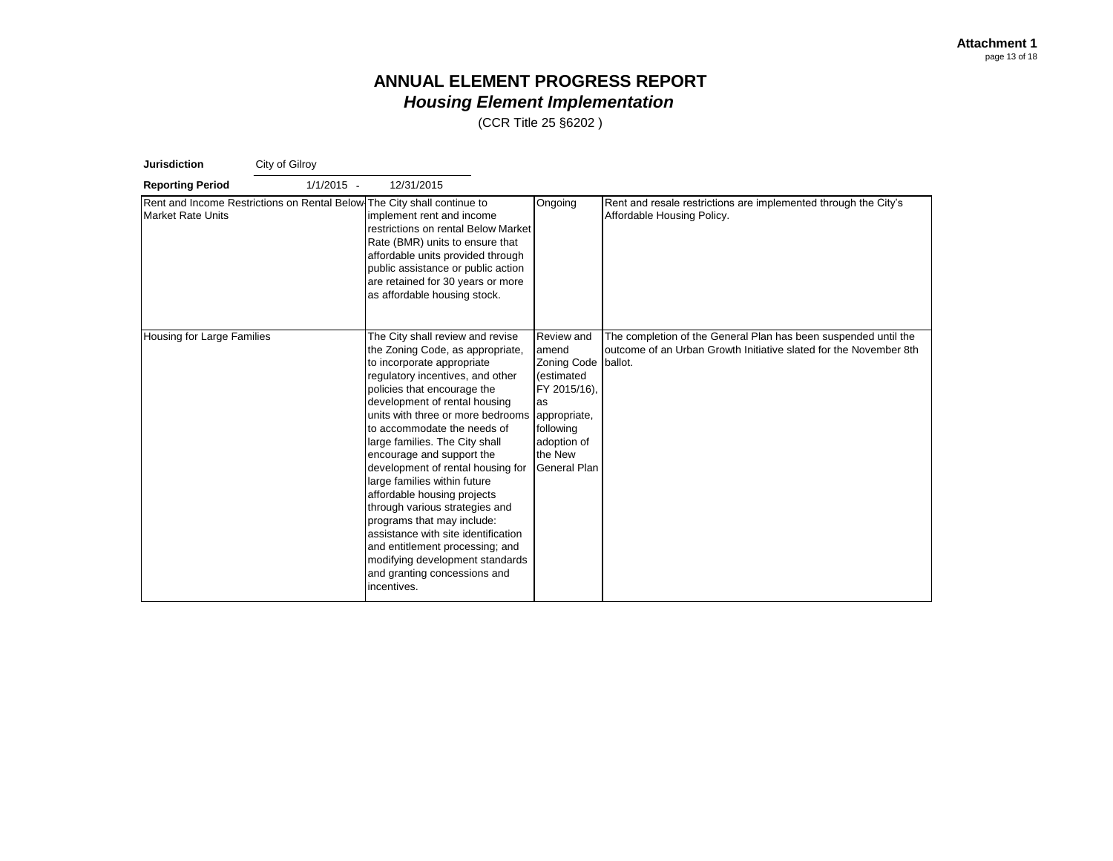| <b>Jurisdiction</b>        | City of Gilroy |                                                                                                                                                                                                                                                                                                                                                                                                                                                                                                                                                                                                                                                                           |                                                                                                                                                      |                                                                                                                                                 |
|----------------------------|----------------|---------------------------------------------------------------------------------------------------------------------------------------------------------------------------------------------------------------------------------------------------------------------------------------------------------------------------------------------------------------------------------------------------------------------------------------------------------------------------------------------------------------------------------------------------------------------------------------------------------------------------------------------------------------------------|------------------------------------------------------------------------------------------------------------------------------------------------------|-------------------------------------------------------------------------------------------------------------------------------------------------|
| <b>Reporting Period</b>    | $1/1/2015 -$   | 12/31/2015                                                                                                                                                                                                                                                                                                                                                                                                                                                                                                                                                                                                                                                                |                                                                                                                                                      |                                                                                                                                                 |
| <b>Market Rate Units</b>   |                | Rent and Income Restrictions on Rental Below The City shall continue to<br>implement rent and income<br>restrictions on rental Below Market<br>Rate (BMR) units to ensure that<br>affordable units provided through<br>public assistance or public action<br>are retained for 30 years or more<br>as affordable housing stock.                                                                                                                                                                                                                                                                                                                                            | Ongoing                                                                                                                                              | Rent and resale restrictions are implemented through the City's<br>Affordable Housing Policy.                                                   |
| Housing for Large Families |                | The City shall review and revise<br>the Zoning Code, as appropriate,<br>to incorporate appropriate<br>regulatory incentives, and other<br>policies that encourage the<br>development of rental housing<br>units with three or more bedrooms<br>to accommodate the needs of<br>large families. The City shall<br>encourage and support the<br>development of rental housing for<br>large families within future<br>affordable housing projects<br>through various strategies and<br>programs that may include:<br>assistance with site identification<br>and entitlement processing; and<br>modifying development standards<br>and granting concessions and<br>incentives. | Review and<br>amend<br><b>Zoning Code</b><br>(estimated<br>FY 2015/16),<br>as<br>appropriate,<br>following<br>adoption of<br>the New<br>General Plan | The completion of the General Plan has been suspended until the<br>outcome of an Urban Growth Initiative slated for the November 8th<br>ballot. |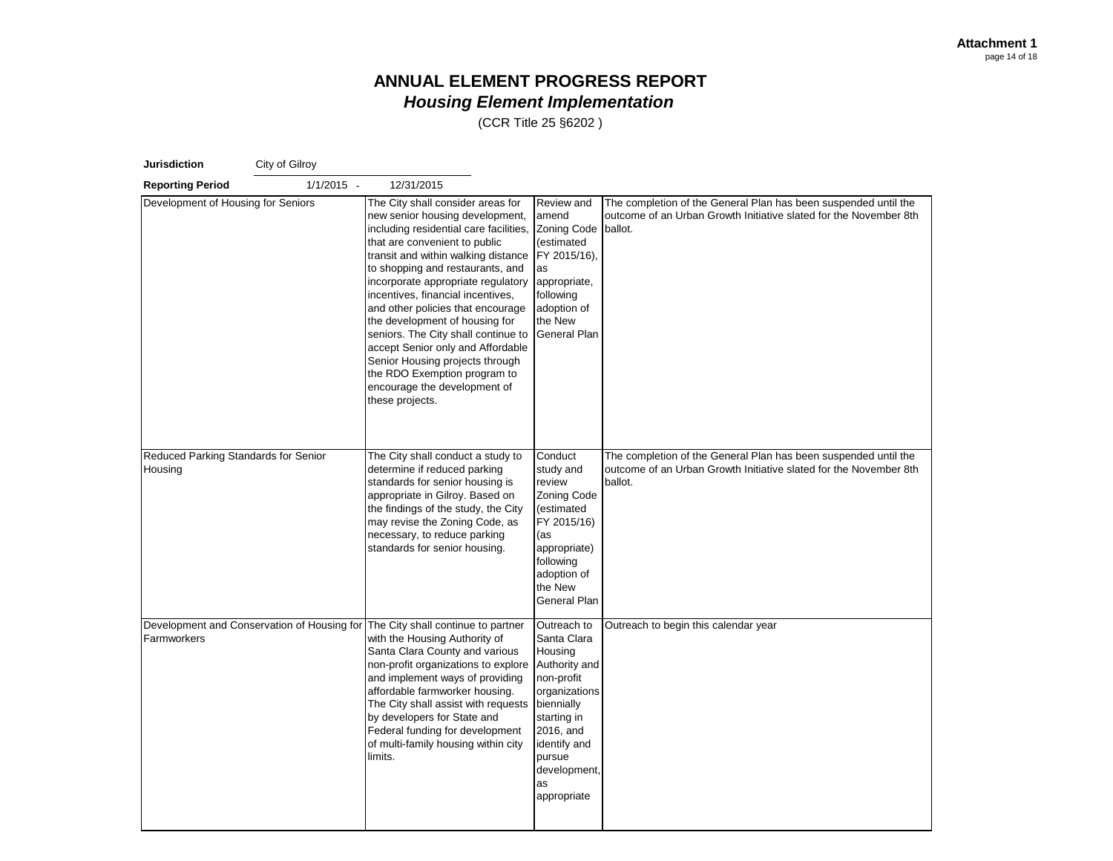| <b>Jurisdiction</b><br>City of Gilroy           |                                             |                                                                                                                                                                                                                                                                                                                                                                                                                                                                                                                                                                                |                                                                                                                                                                                                |                                                                                                                                                 |  |  |
|-------------------------------------------------|---------------------------------------------|--------------------------------------------------------------------------------------------------------------------------------------------------------------------------------------------------------------------------------------------------------------------------------------------------------------------------------------------------------------------------------------------------------------------------------------------------------------------------------------------------------------------------------------------------------------------------------|------------------------------------------------------------------------------------------------------------------------------------------------------------------------------------------------|-------------------------------------------------------------------------------------------------------------------------------------------------|--|--|
| <b>Reporting Period</b>                         | $1/1/2015 -$                                | 12/31/2015                                                                                                                                                                                                                                                                                                                                                                                                                                                                                                                                                                     |                                                                                                                                                                                                |                                                                                                                                                 |  |  |
| Development of Housing for Seniors              |                                             | The City shall consider areas for<br>new senior housing development,<br>including residential care facilities,<br>that are convenient to public<br>transit and within walking distance<br>to shopping and restaurants, and<br>incorporate appropriate regulatory<br>incentives, financial incentives,<br>and other policies that encourage<br>the development of housing for<br>seniors. The City shall continue to<br>accept Senior only and Affordable<br>Senior Housing projects through<br>the RDO Exemption program to<br>encourage the development of<br>these projects. | Review and<br>amend<br><b>Zoning Code</b><br>(estimated<br>FY 2015/16),<br>as<br>appropriate,<br>following<br>adoption of<br>the New<br>General Plan                                           | The completion of the General Plan has been suspended until the<br>outcome of an Urban Growth Initiative slated for the November 8th<br>ballot. |  |  |
| Reduced Parking Standards for Senior<br>Housing |                                             | The City shall conduct a study to<br>determine if reduced parking<br>standards for senior housing is<br>appropriate in Gilroy. Based on<br>the findings of the study, the City<br>may revise the Zoning Code, as<br>necessary, to reduce parking<br>standards for senior housing.                                                                                                                                                                                                                                                                                              | Conduct<br>study and<br>review<br><b>Zoning Code</b><br>(estimated<br>FY 2015/16)<br>(as<br>appropriate)<br>following<br>adoption of<br>the New<br>General Plan                                | The completion of the General Plan has been suspended until the<br>outcome of an Urban Growth Initiative slated for the November 8th<br>ballot. |  |  |
| Farmworkers                                     | Development and Conservation of Housing for | The City shall continue to partner<br>with the Housing Authority of<br>Santa Clara County and various<br>non-profit organizations to explore<br>and implement ways of providing<br>affordable farmworker housing.<br>The City shall assist with requests<br>by developers for State and<br>Federal funding for development<br>of multi-family housing within city<br>limits.                                                                                                                                                                                                   | Outreach to<br>Santa Clara<br>Housing<br>Authority and<br>non-profit<br>organizations<br>biennially<br>starting in<br>2016, and<br>identify and<br>pursue<br>development,<br>as<br>appropriate | Outreach to begin this calendar year                                                                                                            |  |  |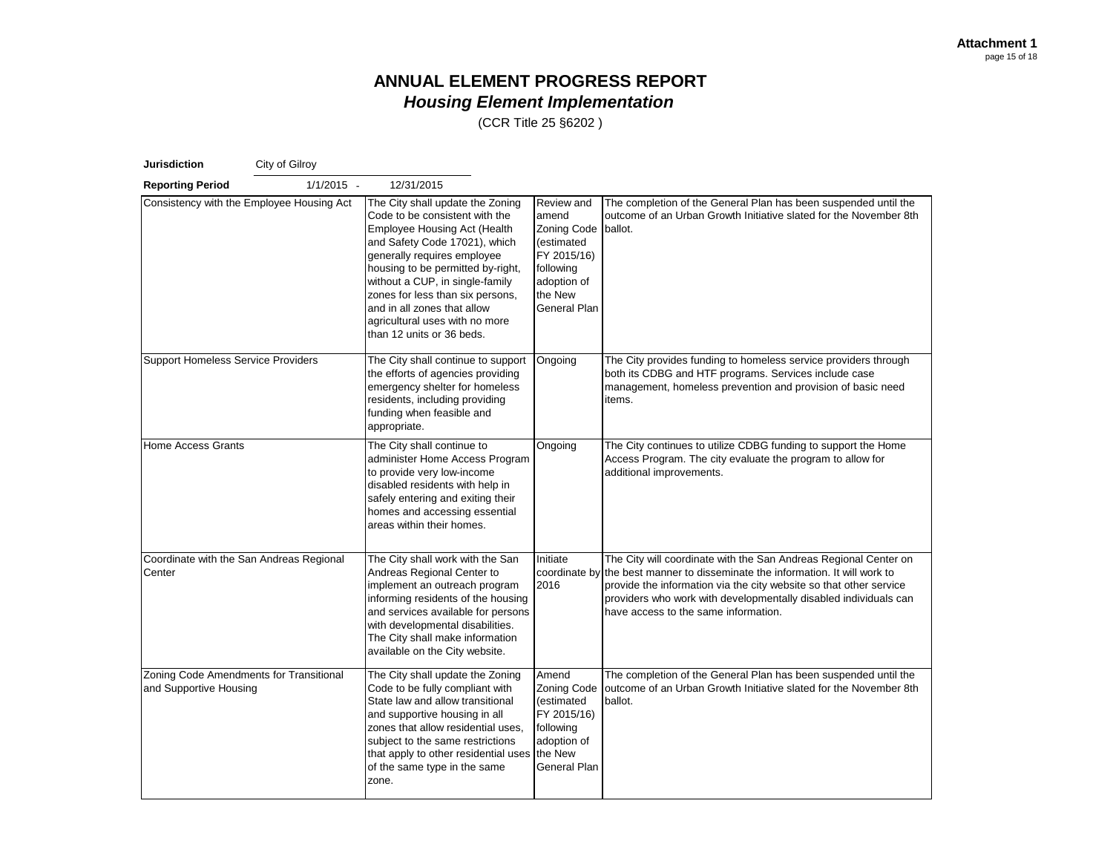| <b>Jurisdiction</b>                                               | City of Gilroy                            |                                                                                                                                                                                                                                                                                                                                                                                     |                                                                                                                               |                                                                                                                                                                                                                                                                                                                                     |
|-------------------------------------------------------------------|-------------------------------------------|-------------------------------------------------------------------------------------------------------------------------------------------------------------------------------------------------------------------------------------------------------------------------------------------------------------------------------------------------------------------------------------|-------------------------------------------------------------------------------------------------------------------------------|-------------------------------------------------------------------------------------------------------------------------------------------------------------------------------------------------------------------------------------------------------------------------------------------------------------------------------------|
| <b>Reporting Period</b>                                           | $1/1/2015 -$                              | 12/31/2015                                                                                                                                                                                                                                                                                                                                                                          |                                                                                                                               |                                                                                                                                                                                                                                                                                                                                     |
|                                                                   | Consistency with the Employee Housing Act | The City shall update the Zoning<br>Code to be consistent with the<br><b>Employee Housing Act (Health</b><br>and Safety Code 17021), which<br>generally requires employee<br>housing to be permitted by-right,<br>without a CUP, in single-family<br>zones for less than six persons,<br>and in all zones that allow<br>agricultural uses with no more<br>than 12 units or 36 beds. | Review and<br>amend<br><b>Zoning Code</b><br>(estimated<br>FY 2015/16)<br>following<br>adoption of<br>the New<br>General Plan | The completion of the General Plan has been suspended until the<br>outcome of an Urban Growth Initiative slated for the November 8th<br>ballot.                                                                                                                                                                                     |
| <b>Support Homeless Service Providers</b>                         |                                           | The City shall continue to support<br>the efforts of agencies providing<br>emergency shelter for homeless<br>residents, including providing<br>funding when feasible and<br>appropriate.                                                                                                                                                                                            | Ongoing                                                                                                                       | The City provides funding to homeless service providers through<br>both its CDBG and HTF programs. Services include case<br>management, homeless prevention and provision of basic need<br>items.                                                                                                                                   |
| <b>Home Access Grants</b>                                         |                                           | The City shall continue to<br>administer Home Access Program<br>to provide very low-income<br>disabled residents with help in<br>safely entering and exiting their<br>homes and accessing essential<br>areas within their homes.                                                                                                                                                    | Ongoing                                                                                                                       | The City continues to utilize CDBG funding to support the Home<br>Access Program. The city evaluate the program to allow for<br>additional improvements.                                                                                                                                                                            |
| Coordinate with the San Andreas Regional<br>Center                |                                           | The City shall work with the San<br>Andreas Regional Center to<br>implement an outreach program<br>informing residents of the housing<br>and services available for persons<br>with developmental disabilities.<br>The City shall make information<br>available on the City website.                                                                                                | Initiate<br>2016                                                                                                              | The City will coordinate with the San Andreas Regional Center on<br>coordinate by the best manner to disseminate the information. It will work to<br>provide the information via the city website so that other service<br>providers who work with developmentally disabled individuals can<br>have access to the same information. |
| Zoning Code Amendments for Transitional<br>and Supportive Housing |                                           | The City shall update the Zoning<br>Code to be fully compliant with<br>State law and allow transitional<br>and supportive housing in all<br>zones that allow residential uses,<br>subject to the same restrictions<br>that apply to other residential uses<br>of the same type in the same<br>zone.                                                                                 | Amend<br><b>Zoning Code</b><br>(estimated<br>FY 2015/16)<br>following<br>adoption of<br>the New<br>General Plan               | The completion of the General Plan has been suspended until the<br>outcome of an Urban Growth Initiative slated for the November 8th<br>ballot.                                                                                                                                                                                     |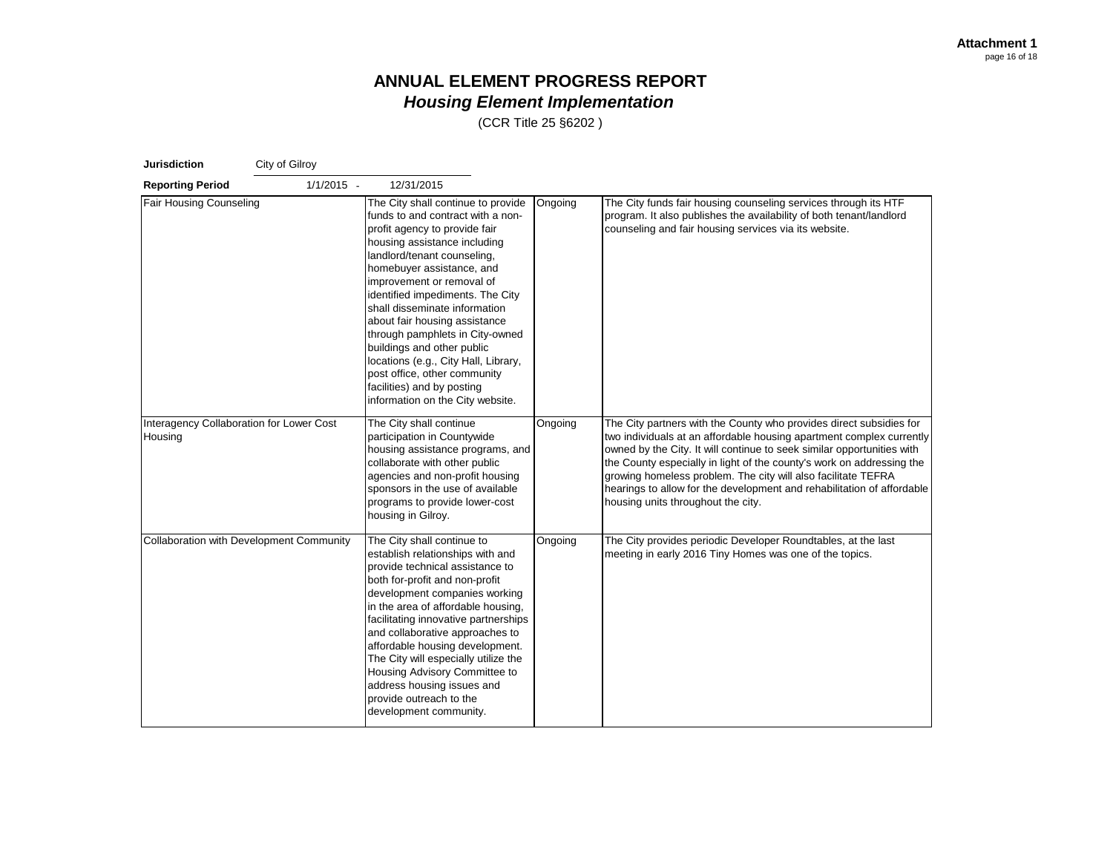| <b>Jurisdiction</b>                                 | City of Gilroy |                                                                                                                                                                                                                                                                                                                                                                                                                                                                                                                                                    |         |                                                                                                                                                                                                                                                                                                                                                                                                                                                                                 |  |  |
|-----------------------------------------------------|----------------|----------------------------------------------------------------------------------------------------------------------------------------------------------------------------------------------------------------------------------------------------------------------------------------------------------------------------------------------------------------------------------------------------------------------------------------------------------------------------------------------------------------------------------------------------|---------|---------------------------------------------------------------------------------------------------------------------------------------------------------------------------------------------------------------------------------------------------------------------------------------------------------------------------------------------------------------------------------------------------------------------------------------------------------------------------------|--|--|
| <b>Reporting Period</b>                             | $1/1/2015 -$   | 12/31/2015                                                                                                                                                                                                                                                                                                                                                                                                                                                                                                                                         |         |                                                                                                                                                                                                                                                                                                                                                                                                                                                                                 |  |  |
| <b>Fair Housing Counseling</b>                      |                | The City shall continue to provide<br>funds to and contract with a non-<br>profit agency to provide fair<br>housing assistance including<br>landlord/tenant counseling,<br>homebuyer assistance, and<br>improvement or removal of<br>identified impediments. The City<br>shall disseminate information<br>about fair housing assistance<br>through pamphlets in City-owned<br>buildings and other public<br>locations (e.g., City Hall, Library,<br>post office, other community<br>facilities) and by posting<br>information on the City website. | Ongoing | The City funds fair housing counseling services through its HTF<br>program. It also publishes the availability of both tenant/landlord<br>counseling and fair housing services via its website.                                                                                                                                                                                                                                                                                 |  |  |
| Interagency Collaboration for Lower Cost<br>Housing |                | The City shall continue<br>participation in Countywide<br>housing assistance programs, and<br>collaborate with other public<br>agencies and non-profit housing<br>sponsors in the use of available<br>programs to provide lower-cost<br>housing in Gilroy.                                                                                                                                                                                                                                                                                         | Ongoing | The City partners with the County who provides direct subsidies for<br>two individuals at an affordable housing apartment complex currently<br>owned by the City. It will continue to seek similar opportunities with<br>the County especially in light of the county's work on addressing the<br>growing homeless problem. The city will also facilitate TEFRA<br>hearings to allow for the development and rehabilitation of affordable<br>housing units throughout the city. |  |  |
| <b>Collaboration with Development Community</b>     |                | The City shall continue to<br>establish relationships with and<br>provide technical assistance to<br>both for-profit and non-profit<br>development companies working<br>in the area of affordable housing,<br>facilitating innovative partnerships<br>and collaborative approaches to<br>affordable housing development.<br>The City will especially utilize the<br>Housing Advisory Committee to<br>address housing issues and<br>provide outreach to the<br>development community.                                                               | Ongoing | The City provides periodic Developer Roundtables, at the last<br>meeting in early 2016 Tiny Homes was one of the topics.                                                                                                                                                                                                                                                                                                                                                        |  |  |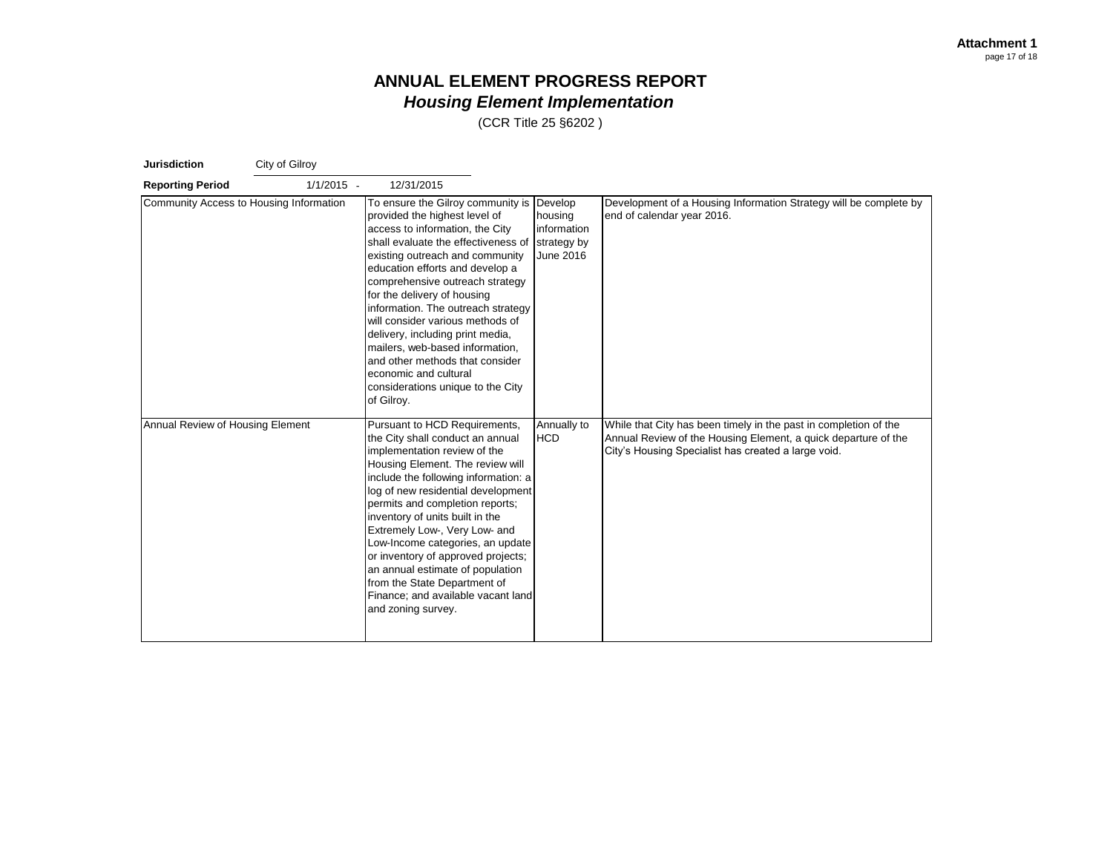| <b>Jurisdiction</b>                     | City of Gilroy |                                                                                                                                                                                                                                                                                                                                                                                                                                                                                                                                                      |                                                               |                                                                                                                                                                                           |
|-----------------------------------------|----------------|------------------------------------------------------------------------------------------------------------------------------------------------------------------------------------------------------------------------------------------------------------------------------------------------------------------------------------------------------------------------------------------------------------------------------------------------------------------------------------------------------------------------------------------------------|---------------------------------------------------------------|-------------------------------------------------------------------------------------------------------------------------------------------------------------------------------------------|
| <b>Reporting Period</b>                 | $1/1/2015 -$   | 12/31/2015                                                                                                                                                                                                                                                                                                                                                                                                                                                                                                                                           |                                                               |                                                                                                                                                                                           |
| Community Access to Housing Information |                | To ensure the Gilroy community is<br>provided the highest level of<br>access to information, the City<br>shall evaluate the effectiveness of<br>existing outreach and community<br>education efforts and develop a<br>comprehensive outreach strategy<br>for the delivery of housing<br>information. The outreach strategy<br>will consider various methods of<br>delivery, including print media,<br>mailers, web-based information,<br>and other methods that consider<br>economic and cultural<br>considerations unique to the City<br>of Gilroy. | Develop<br>housing<br>information<br>strategy by<br>June 2016 | Development of a Housing Information Strategy will be complete by<br>end of calendar year 2016.                                                                                           |
| Annual Review of Housing Element        |                | Pursuant to HCD Requirements,<br>the City shall conduct an annual<br>implementation review of the<br>Housing Element. The review will<br>include the following information: a<br>log of new residential development<br>permits and completion reports;<br>inventory of units built in the<br>Extremely Low-, Very Low- and<br>Low-Income categories, an update<br>or inventory of approved projects;<br>an annual estimate of population<br>from the State Department of<br>Finance; and available vacant land<br>and zoning survey.                 | Annually to<br><b>HCD</b>                                     | While that City has been timely in the past in completion of the<br>Annual Review of the Housing Element, a quick departure of the<br>City's Housing Specialist has created a large void. |